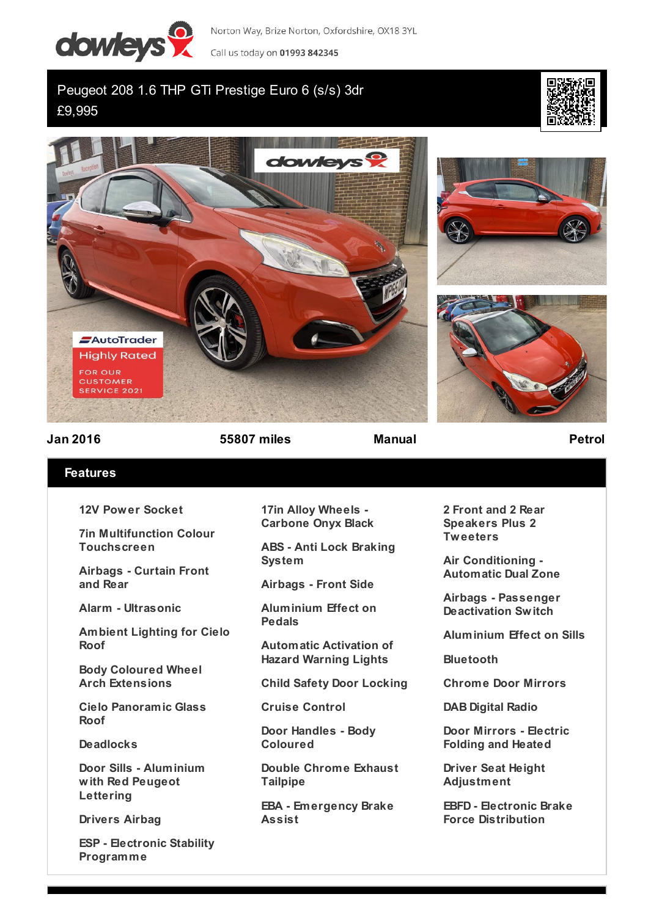

Norton Way, Brize Norton, Oxfordshire, OX18 3YL

Call us today on 01993 842345

Peugeot 208 1.6 THP GTi Prestige Euro 6 (s/s) 3dr £9,995









**Jan 2016 55807 miles Manual Petrol**

## **Features**

**12V Power Socket**

**7in Multifunction Colour Touchscreen**

**Airbags - Curtain Front and Rear**

**Alarm - Ultrasonic**

**Ambient Lighting for Cielo Roof**

**Body Coloured Wheel Arch Extensions**

**Cielo Panoramic Glass Roof**

**Deadlocks**

**Door Sills - Aluminium with Red Peugeot Lettering**

**Drivers Airbag**

**ESP - Electronic Stability Programme**

**17in Alloy Wheels - Carbone Onyx Black**

**ABS - Anti Lock Braking System**

**Airbags - Front Side**

**Aluminium Effect on Pedals**

**Automatic Activation of Hazard Warning Lights**

**Child Safety Door Locking**

**Cruise Control**

**Door Handles - Body Coloured**

**Double Chrome Exhaust Tailpipe**

**EBA - Emergency Brake Assist**

**2 Front and 2 Rear Speakers Plus 2 Tweeters**

**Air Conditioning - Automatic Dual Zone**

**Airbags - Passenger Deactivation Switch**

**Aluminium Effect on Sills**

**Bluetooth**

**Chrome Door Mirrors**

**DAB Digital Radio**

**Door Mirrors - Electric Folding and Heated**

**Driver Seat Height Adjustment**

**EBFD - Electronic Brake Force Distribution**